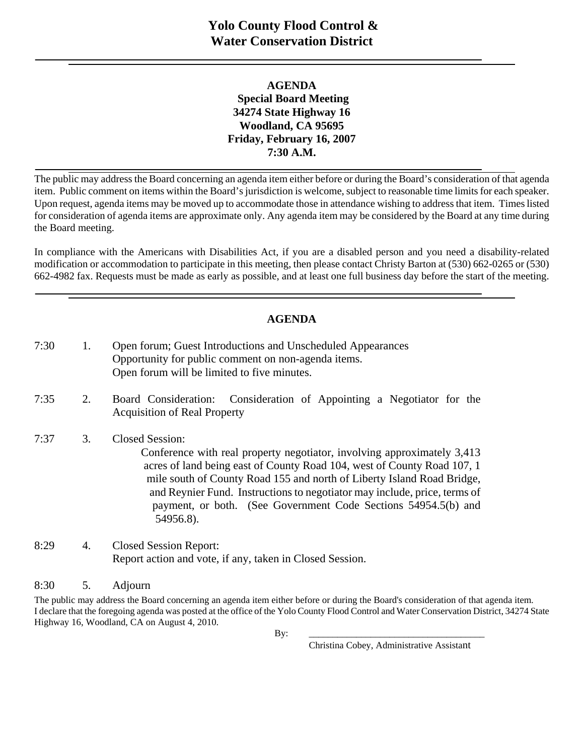## **AGENDA Special Board Meeting 34274 State Highway 16 Woodland, CA 95695 Friday, February 16, 2007 7:30 A.M.**

The public may address the Board concerning an agenda item either before or during the Board's consideration of that agenda item. Public comment on items within the Board's jurisdiction is welcome, subject to reasonable time limits for each speaker. Upon request, agenda items may be moved up to accommodate those in attendance wishing to address that item. Times listed for consideration of agenda items are approximate only. Any agenda item may be considered by the Board at any time during the Board meeting.

In compliance with the Americans with Disabilities Act, if you are a disabled person and you need a disability-related modification or accommodation to participate in this meeting, then please contact Christy Barton at (530) 662-0265 or (530) 662-4982 fax. Requests must be made as early as possible, and at least one full business day before the start of the meeting.

## **AGENDA**

| 7:30 | 1. | Open forum; Guest Introductions and Unscheduled Appearances<br>Opportunity for public comment on non-agenda items.<br>Open forum will be limited to five minutes.                                                                                                                                                                                                                                                  |
|------|----|--------------------------------------------------------------------------------------------------------------------------------------------------------------------------------------------------------------------------------------------------------------------------------------------------------------------------------------------------------------------------------------------------------------------|
| 7:35 | 2. | Board Consideration: Consideration of Appointing a Negotiator for the<br><b>Acquisition of Real Property</b>                                                                                                                                                                                                                                                                                                       |
| 7:37 | 3. | <b>Closed Session:</b><br>Conference with real property negotiator, involving approximately 3,413<br>acres of land being east of County Road 104, west of County Road 107, 1<br>mile south of County Road 155 and north of Liberty Island Road Bridge,<br>and Reynier Fund. Instructions to negotiator may include, price, terms of<br>payment, or both. (See Government Code Sections 54954.5(b) and<br>54956.8). |
| 8:29 | 4. | <b>Closed Session Report:</b><br>Report action and vote, if any, taken in Closed Session.                                                                                                                                                                                                                                                                                                                          |

#### 8:30 5. Adjourn

The public may address the Board concerning an agenda item either before or during the Board's consideration of that agenda item. I declare that the foregoing agenda was posted at the office of the Yolo County Flood Control and Water Conservation District, 34274 State Highway 16, Woodland, CA on August 4, 2010.

Christina Cobey, Administrative Assistant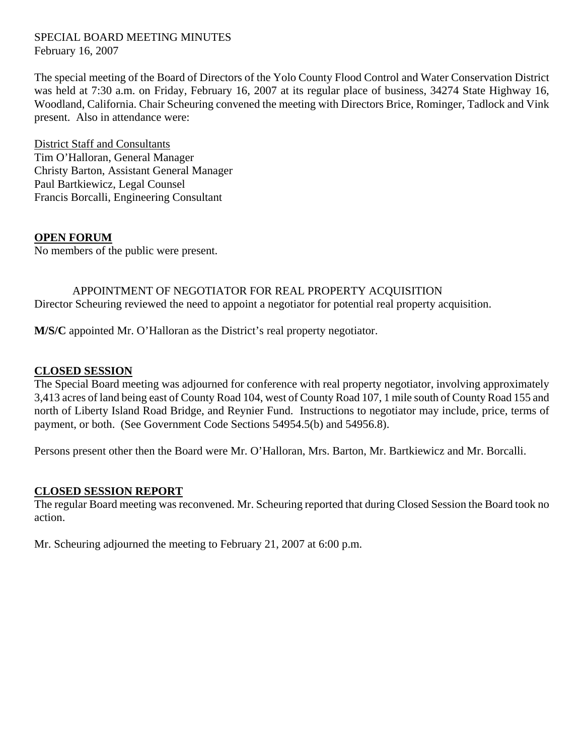#### SPECIAL BOARD MEETING MINUTES February 16, 2007

The special meeting of the Board of Directors of the Yolo County Flood Control and Water Conservation District was held at 7:30 a.m. on Friday, February 16, 2007 at its regular place of business, 34274 State Highway 16, Woodland, California. Chair Scheuring convened the meeting with Directors Brice, Rominger, Tadlock and Vink present. Also in attendance were:

District Staff and Consultants Tim O'Halloran, General Manager Christy Barton, Assistant General Manager Paul Bartkiewicz, Legal Counsel Francis Borcalli, Engineering Consultant

#### **OPEN FORUM**

No members of the public were present.

# APPOINTMENT OF NEGOTIATOR FOR REAL PROPERTY ACQUISITION Director Scheuring reviewed the need to appoint a negotiator for potential real property acquisition.

**M/S/C** appointed Mr. O'Halloran as the District's real property negotiator.

### **CLOSED SESSION**

The Special Board meeting was adjourned for conference with real property negotiator, involving approximately 3,413 acres of land being east of County Road 104, west of County Road 107, 1 mile south of County Road 155 and north of Liberty Island Road Bridge, and Reynier Fund. Instructions to negotiator may include, price, terms of payment, or both. (See Government Code Sections 54954.5(b) and 54956.8).

Persons present other then the Board were Mr. O'Halloran, Mrs. Barton, Mr. Bartkiewicz and Mr. Borcalli.

## **CLOSED SESSION REPORT**

The regular Board meeting was reconvened. Mr. Scheuring reported that during Closed Session the Board took no action.

Mr. Scheuring adjourned the meeting to February 21, 2007 at 6:00 p.m.